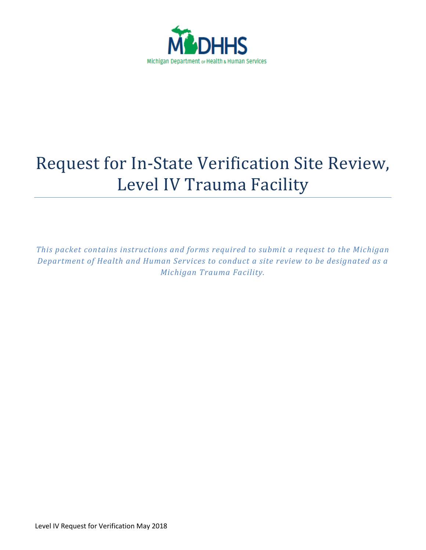

# Request for In-State Verification Site Review, Level IV Trauma Facility

*This packet contains instructions and forms required to submit a request to the Michigan Department of Health and Human Services to conduct a site review to be designated as a Michigan Trauma Facility.*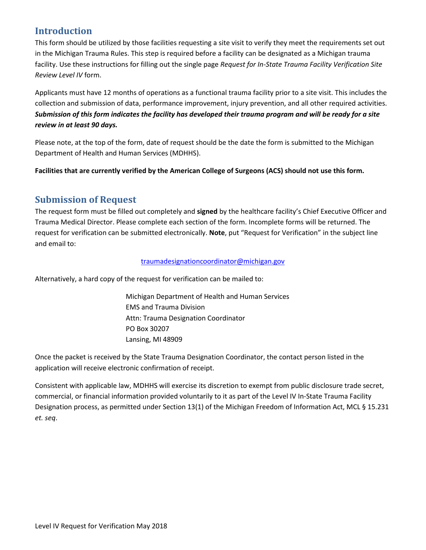# **Introduction**

This form should be utilized by those facilities requesting a site visit to verify they meet the requirements set out in the Michigan Trauma Rules. This step is required before a facility can be designated as a Michigan trauma facility. Use these instructions for filling out the single page *Request for In-State Trauma Facility Verification Site Review Level IV* form.

Applicants must have 12 months of operations as a functional trauma facility prior to a site visit. This includes the collection and submission of data, performance improvement, injury prevention, and all other required activities. *Submission of this form indicates the facility has developed their trauma program and will be ready for a site review in at least 90 days.*

Please note, at the top of the form, date of request should be the date the form is submitted to the Michigan Department of Health and Human Services (MDHHS).

**Facilities that are currently verified by the American College of Surgeons (ACS) should not use this form.**

## **Submission of Request**

The request form must be filled out completely and **signed** by the healthcare facility's Chief Executive Officer and Trauma Medical Director. Please complete each section of the form. Incomplete forms will be returned. The request for verification can be submitted electronically. **Note**, put "Request for Verification" in the subject line and email to:

## [traumadesignationcoordinator@michigan.gov](mailto:traumadesignationcoordinator@michigan.gov)

Alternatively, a hard copy of the request for verification can be mailed to:

Michigan Department of Health and Human Services EMS and Trauma Division Attn: Trauma Designation Coordinator PO Box 30207 Lansing, MI 48909

Once the packet is received by the State Trauma Designation Coordinator, the contact person listed in the application will receive electronic confirmation of receipt.

Consistent with applicable law, MDHHS will exercise its discretion to exempt from public disclosure trade secret, commercial, or financial information provided voluntarily to it as part of the Level IV In-State Trauma Facility Designation process, as permitted under Section 13(1) of the Michigan Freedom of Information Act, MCL § 15.231 *et. seq*.